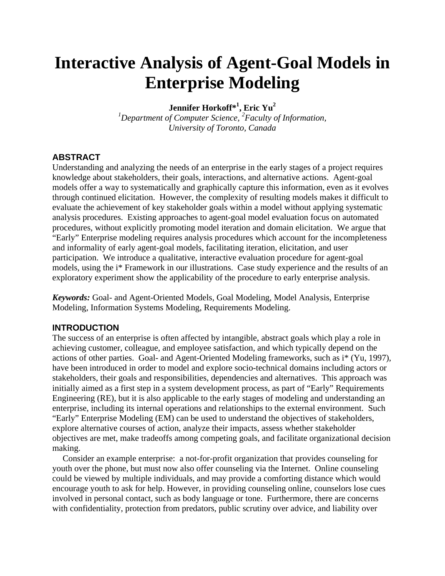# **Interactive Analysis of Agent-Goal Models in Enterprise Modeling**

**Jennifer Horkoff\*1 , Eric Yu2**

*1 Department of Computer Science, <sup>2</sup> Faculty of Information, University of Toronto, Canada* 

## **ABSTRACT**

Understanding and analyzing the needs of an enterprise in the early stages of a project requires knowledge about stakeholders, their goals, interactions, and alternative actions. Agent-goal models offer a way to systematically and graphically capture this information, even as it evolves through continued elicitation. However, the complexity of resulting models makes it difficult to evaluate the achievement of key stakeholder goals within a model without applying systematic analysis procedures. Existing approaches to agent-goal model evaluation focus on automated procedures, without explicitly promoting model iteration and domain elicitation. We argue that "Early" Enterprise modeling requires analysis procedures which account for the incompleteness and informality of early agent-goal models, facilitating iteration, elicitation, and user participation. We introduce a qualitative, interactive evaluation procedure for agent-goal models, using the i\* Framework in our illustrations. Case study experience and the results of an exploratory experiment show the applicability of the procedure to early enterprise analysis.

*Keywords:* Goal- and Agent-Oriented Models, Goal Modeling, Model Analysis, Enterprise Modeling, Information Systems Modeling, Requirements Modeling.

## **INTRODUCTION**

The success of an enterprise is often affected by intangible, abstract goals which play a role in achieving customer, colleague, and employee satisfaction, and which typically depend on the actions of other parties. Goal- and Agent-Oriented Modeling frameworks, such as i\* (Yu, 1997), have been introduced in order to model and explore socio-technical domains including actors or stakeholders, their goals and responsibilities, dependencies and alternatives. This approach was initially aimed as a first step in a system development process, as part of "Early" Requirements Engineering (RE), but it is also applicable to the early stages of modeling and understanding an enterprise, including its internal operations and relationships to the external environment. Such "Early" Enterprise Modeling (EM) can be used to understand the objectives of stakeholders, explore alternative courses of action, analyze their impacts, assess whether stakeholder objectives are met, make tradeoffs among competing goals, and facilitate organizational decision making.

Consider an example enterprise: a not-for-profit organization that provides counseling for youth over the phone, but must now also offer counseling via the Internet. Online counseling could be viewed by multiple individuals, and may provide a comforting distance which would encourage youth to ask for help. However, in providing counseling online, counselors lose cues involved in personal contact, such as body language or tone. Furthermore, there are concerns with confidentiality, protection from predators, public scrutiny over advice, and liability over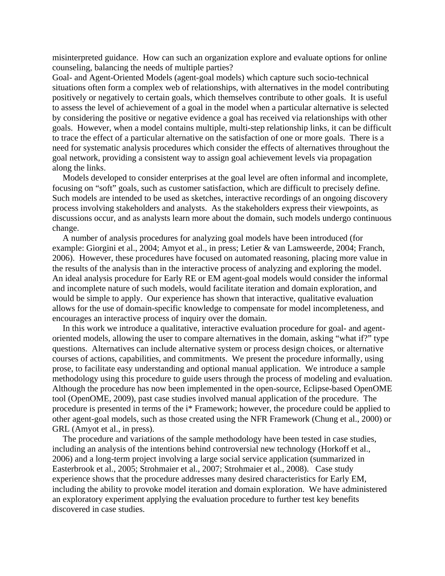misinterpreted guidance. How can such an organization explore and evaluate options for online counseling, balancing the needs of multiple parties?

Goal- and Agent-Oriented Models (agent-goal models) which capture such socio-technical situations often form a complex web of relationships, with alternatives in the model contributing positively or negatively to certain goals, which themselves contribute to other goals. It is useful to assess the level of achievement of a goal in the model when a particular alternative is selected by considering the positive or negative evidence a goal has received via relationships with other goals. However, when a model contains multiple, multi-step relationship links, it can be difficult to trace the effect of a particular alternative on the satisfaction of one or more goals. There is a need for systematic analysis procedures which consider the effects of alternatives throughout the goal network, providing a consistent way to assign goal achievement levels via propagation along the links.

Models developed to consider enterprises at the goal level are often informal and incomplete, focusing on "soft" goals, such as customer satisfaction, which are difficult to precisely define. Such models are intended to be used as sketches, interactive recordings of an ongoing discovery process involving stakeholders and analysts. As the stakeholders express their viewpoints, as discussions occur, and as analysts learn more about the domain, such models undergo continuous change.

A number of analysis procedures for analyzing goal models have been introduced (for example: Giorgini et al., 2004; Amyot et al., in press; Letier & van Lamsweerde, 2004; Franch, 2006). However, these procedures have focused on automated reasoning, placing more value in the results of the analysis than in the interactive process of analyzing and exploring the model. An ideal analysis procedure for Early RE or EM agent-goal models would consider the informal and incomplete nature of such models, would facilitate iteration and domain exploration, and would be simple to apply. Our experience has shown that interactive, qualitative evaluation allows for the use of domain-specific knowledge to compensate for model incompleteness, and encourages an interactive process of inquiry over the domain.

In this work we introduce a qualitative, interactive evaluation procedure for goal- and agentoriented models, allowing the user to compare alternatives in the domain, asking "what if?" type questions. Alternatives can include alternative system or process design choices, or alternative courses of actions, capabilities, and commitments. We present the procedure informally, using prose, to facilitate easy understanding and optional manual application. We introduce a sample methodology using this procedure to guide users through the process of modeling and evaluation. Although the procedure has now been implemented in the open-source, Eclipse-based OpenOME tool (OpenOME, 2009), past case studies involved manual application of the procedure. The procedure is presented in terms of the i\* Framework; however, the procedure could be applied to other agent-goal models, such as those created using the NFR Framework (Chung et al., 2000) or GRL (Amyot et al., in press).

The procedure and variations of the sample methodology have been tested in case studies, including an analysis of the intentions behind controversial new technology (Horkoff et al., 2006) and a long-term project involving a large social service application (summarized in Easterbrook et al., 2005; Strohmaier et al., 2007; Strohmaier et al., 2008). Case study experience shows that the procedure addresses many desired characteristics for Early EM, including the ability to provoke model iteration and domain exploration. We have administered an exploratory experiment applying the evaluation procedure to further test key benefits discovered in case studies.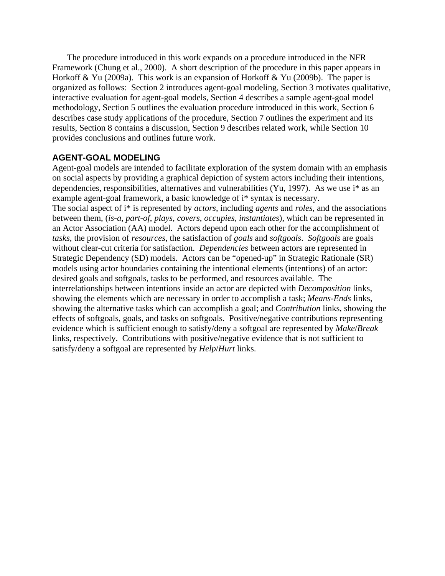The procedure introduced in this work expands on a procedure introduced in the NFR Framework (Chung et al., 2000). A short description of the procedure in this paper appears in Horkoff & Yu (2009a). This work is an expansion of Horkoff & Yu (2009b). The paper is organized as follows: Section 2 introduces agent-goal modeling, Section 3 motivates qualitative, interactive evaluation for agent-goal models, Section 4 describes a sample agent-goal model methodology, Section 5 outlines the evaluation procedure introduced in this work, Section 6 describes case study applications of the procedure, Section 7 outlines the experiment and its results, Section 8 contains a discussion, Section 9 describes related work, while Section 10 provides conclusions and outlines future work.

## **AGENT-GOAL MODELING**

Agent-goal models are intended to facilitate exploration of the system domain with an emphasis on social aspects by providing a graphical depiction of system actors including their intentions, dependencies, responsibilities, alternatives and vulnerabilities (Yu, 1997). As we use i\* as an example agent-goal framework, a basic knowledge of i\* syntax is necessary. The social aspect of i\* is represented by *actors*, including *agents* and *roles*, and the associations between them, (*is-a*, *part-of*, *plays*, *covers*, *occupies*, *instantiates*), which can be represented in an Actor Association (AA) model. Actors depend upon each other for the accomplishment of *tasks*, the provision of *resources*, the satisfaction of *goals* and *softgoals*. *Softgoals* are goals without clear-cut criteria for satisfaction. *Dependencies* between actors are represented in Strategic Dependency (SD) models. Actors can be "opened-up" in Strategic Rationale (SR) models using actor boundaries containing the intentional elements (intentions) of an actor: desired goals and softgoals, tasks to be performed, and resources available. The interrelationships between intentions inside an actor are depicted with *Decomposition* links, showing the elements which are necessary in order to accomplish a task; *Means-Ends* links, showing the alternative tasks which can accomplish a goal; and *Contribution* links, showing the effects of softgoals, goals, and tasks on softgoals. Positive/negative contributions representing evidence which is sufficient enough to satisfy/deny a softgoal are represented by *Make*/*Break* links, respectively. Contributions with positive/negative evidence that is not sufficient to satisfy/deny a softgoal are represented by *Help*/*Hurt* links.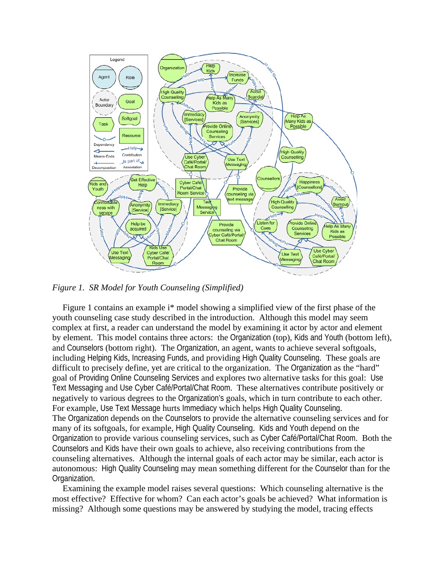

*Figure 1. SR Model for Youth Counseling (Simplified)* 

Figure 1 contains an example i\* model showing a simplified view of the first phase of the youth counseling case study described in the introduction. Although this model may seem complex at first, a reader can understand the model by examining it actor by actor and element by element. This model contains three actors: the Organization (top), Kids and Youth (bottom left), and Counselors (bottom right). The Organization, an agent, wants to achieve several softgoals, including Helping Kids, Increasing Funds, and providing High Quality Counseling. These goals are difficult to precisely define, yet are critical to the organization. The Organization as the "hard" goal of Providing Online Counseling Services and explores two alternative tasks for this goal: Use Text Messaging and Use Cyber Café/Portal/Chat Room. These alternatives contribute positively or negatively to various degrees to the Organization's goals, which in turn contribute to each other. For example, Use Text Message hurts Immediacy which helps High Quality Counseling. The Organization depends on the Counselors to provide the alternative counseling services and for many of its softgoals, for example, High Quality Counseling. Kids and Youth depend on the Organization to provide various counseling services, such as Cyber Café/Portal/Chat Room. Both the Counselors and Kids have their own goals to achieve, also receiving contributions from the counseling alternatives. Although the internal goals of each actor may be similar, each actor is autonomous: High Quality Counseling may mean something different for the Counselor than for the Organization.

Examining the example model raises several questions: Which counseling alternative is the most effective? Effective for whom? Can each actor's goals be achieved? What information is missing? Although some questions may be answered by studying the model, tracing effects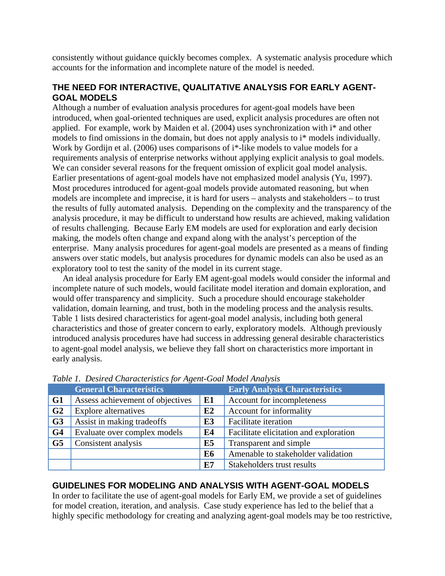consistently without guidance quickly becomes complex. A systematic analysis procedure which accounts for the information and incomplete nature of the model is needed.

# **THE NEED FOR INTERACTIVE, QUALITATIVE ANALYSIS FOR EARLY AGENT-GOAL MODELS**

Although a number of evaluation analysis procedures for agent-goal models have been introduced, when goal-oriented techniques are used, explicit analysis procedures are often not applied. For example, work by Maiden et al. (2004) uses synchronization with i\* and other models to find omissions in the domain, but does not apply analysis to i\* models individually. Work by Gordijn et al. (2006) uses comparisons of i\*-like models to value models for a requirements analysis of enterprise networks without applying explicit analysis to goal models. We can consider several reasons for the frequent omission of explicit goal model analysis. Earlier presentations of agent-goal models have not emphasized model analysis (Yu, 1997). Most procedures introduced for agent-goal models provide automated reasoning, but when models are incomplete and imprecise, it is hard for users – analysts and stakeholders – to trust the results of fully automated analysis. Depending on the complexity and the transparency of the analysis procedure, it may be difficult to understand how results are achieved, making validation of results challenging. Because Early EM models are used for exploration and early decision making, the models often change and expand along with the analyst's perception of the enterprise. Many analysis procedures for agent-goal models are presented as a means of finding answers over static models, but analysis procedures for dynamic models can also be used as an exploratory tool to test the sanity of the model in its current stage.

An ideal analysis procedure for Early EM agent-goal models would consider the informal and incomplete nature of such models, would facilitate model iteration and domain exploration, and would offer transparency and simplicity. Such a procedure should encourage stakeholder validation, domain learning, and trust, both in the modeling process and the analysis results. Table 1 lists desired characteristics for agent-goal model analysis, including both general characteristics and those of greater concern to early, exploratory models. Although previously introduced analysis procedures have had success in addressing general desirable characteristics to agent-goal model analysis, we believe they fall short on characteristics more important in early analysis.

|                | <b>General Characteristics</b>   |                | <b>Early Analysis Characteristics</b>  |
|----------------|----------------------------------|----------------|----------------------------------------|
| G1             | Assess achievement of objectives | E1             | Account for incompleteness             |
| G <sub>2</sub> | <b>Explore alternatives</b>      | E2             | Account for informality                |
| G <sub>3</sub> | Assist in making tradeoffs       | E3             | <b>Facilitate</b> iteration            |
| G <sub>4</sub> | Evaluate over complex models     | E4             | Facilitate elicitation and exploration |
| G <sub>5</sub> | Consistent analysis              | E5             | Transparent and simple                 |
|                |                                  | E <sub>6</sub> | Amenable to stakeholder validation     |
|                |                                  | E7             | Stakeholders trust results             |

*Table 1. Desired Characteristics for Agent-Goal Model Analysis* 

# **GUIDELINES FOR MODELING AND ANALYSIS WITH AGENT-GOAL MODELS**

In order to facilitate the use of agent-goal models for Early EM, we provide a set of guidelines for model creation, iteration, and analysis. Case study experience has led to the belief that a highly specific methodology for creating and analyzing agent-goal models may be too restrictive,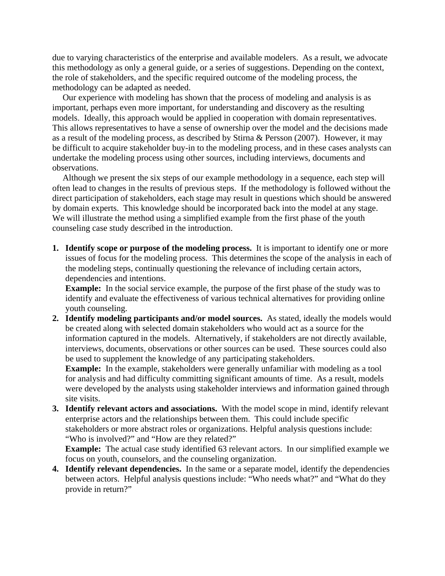due to varying characteristics of the enterprise and available modelers. As a result, we advocate this methodology as only a general guide, or a series of suggestions. Depending on the context, the role of stakeholders, and the specific required outcome of the modeling process, the methodology can be adapted as needed.

Our experience with modeling has shown that the process of modeling and analysis is as important, perhaps even more important, for understanding and discovery as the resulting models. Ideally, this approach would be applied in cooperation with domain representatives. This allows representatives to have a sense of ownership over the model and the decisions made as a result of the modeling process, as described by Stirna & Persson (2007). However, it may be difficult to acquire stakeholder buy-in to the modeling process, and in these cases analysts can undertake the modeling process using other sources, including interviews, documents and observations.

Although we present the six steps of our example methodology in a sequence, each step will often lead to changes in the results of previous steps. If the methodology is followed without the direct participation of stakeholders, each stage may result in questions which should be answered by domain experts. This knowledge should be incorporated back into the model at any stage. We will illustrate the method using a simplified example from the first phase of the youth counseling case study described in the introduction.

**1. Identify scope or purpose of the modeling process.** It is important to identify one or more issues of focus for the modeling process. This determines the scope of the analysis in each of the modeling steps, continually questioning the relevance of including certain actors, dependencies and intentions.

**Example:** In the social service example, the purpose of the first phase of the study was to identify and evaluate the effectiveness of various technical alternatives for providing online youth counseling.

**2. Identify modeling participants and/or model sources.** As stated, ideally the models would be created along with selected domain stakeholders who would act as a source for the information captured in the models. Alternatively, if stakeholders are not directly available, interviews, documents, observations or other sources can be used. These sources could also be used to supplement the knowledge of any participating stakeholders.

**Example:** In the example, stakeholders were generally unfamiliar with modeling as a tool for analysis and had difficulty committing significant amounts of time. As a result, models were developed by the analysts using stakeholder interviews and information gained through site visits.

**3. Identify relevant actors and associations.** With the model scope in mind, identify relevant enterprise actors and the relationships between them. This could include specific stakeholders or more abstract roles or organizations. Helpful analysis questions include: "Who is involved?" and "How are they related?"

**Example:** The actual case study identified 63 relevant actors. In our simplified example we focus on youth, counselors, and the counseling organization.

**4. Identify relevant dependencies.** In the same or a separate model, identify the dependencies between actors. Helpful analysis questions include: "Who needs what?" and "What do they provide in return?"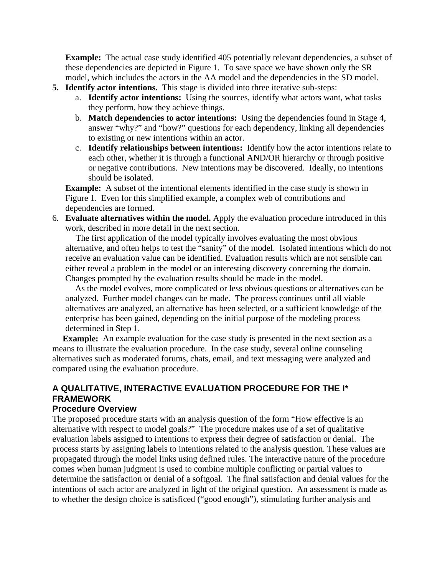**Example:** The actual case study identified 405 potentially relevant dependencies, a subset of these dependencies are depicted in Figure 1. To save space we have shown only the SR model, which includes the actors in the AA model and the dependencies in the SD model.

- **5. Identify actor intentions.** This stage is divided into three iterative sub-steps:
	- a. **Identify actor intentions:** Using the sources, identify what actors want, what tasks they perform, how they achieve things.
	- b. **Match dependencies to actor intentions:** Using the dependencies found in Stage 4, answer "why?" and "how?" questions for each dependency, linking all dependencies to existing or new intentions within an actor.
	- c. **Identify relationships between intentions:** Identify how the actor intentions relate to each other, whether it is through a functional AND/OR hierarchy or through positive or negative contributions. New intentions may be discovered. Ideally, no intentions should be isolated.

**Example:** A subset of the intentional elements identified in the case study is shown in Figure 1. Even for this simplified example, a complex web of contributions and dependencies are formed.

6. **Evaluate alternatives within the model.** Apply the evaluation procedure introduced in this work, described in more detail in the next section.

The first application of the model typically involves evaluating the most obvious alternative, and often helps to test the "sanity" of the model. Isolated intentions which do not receive an evaluation value can be identified. Evaluation results which are not sensible can either reveal a problem in the model or an interesting discovery concerning the domain. Changes prompted by the evaluation results should be made in the model.

As the model evolves, more complicated or less obvious questions or alternatives can be analyzed. Further model changes can be made. The process continues until all viable alternatives are analyzed, an alternative has been selected, or a sufficient knowledge of the enterprise has been gained, depending on the initial purpose of the modeling process determined in Step 1.

**Example:** An example evaluation for the case study is presented in the next section as a means to illustrate the evaluation procedure. In the case study, several online counseling alternatives such as moderated forums, chats, email, and text messaging were analyzed and compared using the evaluation procedure.

# **A QUALITATIVE, INTERACTIVE EVALUATION PROCEDURE FOR THE I\* FRAMEWORK**

## **Procedure Overview**

The proposed procedure starts with an analysis question of the form "How effective is an alternative with respect to model goals?" The procedure makes use of a set of qualitative evaluation labels assigned to intentions to express their degree of satisfaction or denial. The process starts by assigning labels to intentions related to the analysis question. These values are propagated through the model links using defined rules. The interactive nature of the procedure comes when human judgment is used to combine multiple conflicting or partial values to determine the satisfaction or denial of a softgoal. The final satisfaction and denial values for the intentions of each actor are analyzed in light of the original question. An assessment is made as to whether the design choice is satisficed ("good enough"), stimulating further analysis and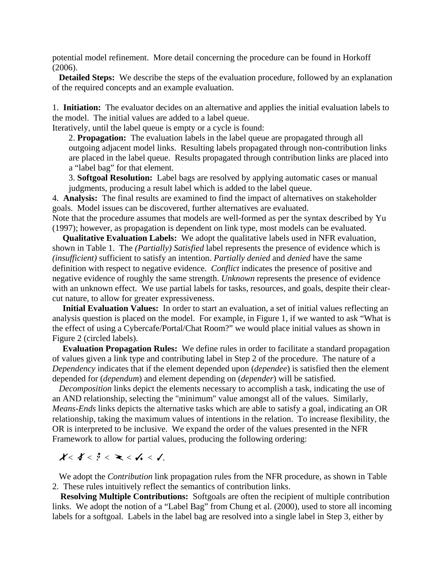potential model refinement. More detail concerning the procedure can be found in Horkoff (2006).

**Detailed Steps:** We describe the steps of the evaluation procedure, followed by an explanation of the required concepts and an example evaluation.

1. **Initiation:** The evaluator decides on an alternative and applies the initial evaluation labels to the model. The initial values are added to a label queue.

Iteratively, until the label queue is empty or a cycle is found:

2. **Propagation:** The evaluation labels in the label queue are propagated through all outgoing adjacent model links. Resulting labels propagated through non-contribution links are placed in the label queue. Results propagated through contribution links are placed into a "label bag" for that element.

3. **Softgoal Resolution:** Label bags are resolved by applying automatic cases or manual judgments, producing a result label which is added to the label queue.

4. **Analysis:** The final results are examined to find the impact of alternatives on stakeholder goals. Model issues can be discovered, further alternatives are evaluated.

Note that the procedure assumes that models are well-formed as per the syntax described by Yu (1997); however, as propagation is dependent on link type, most models can be evaluated.

**Qualitative Evaluation Labels:** We adopt the qualitative labels used in NFR evaluation, shown in Table 1. The *(Partially) Satisfied* label represents the presence of evidence which is *(insufficient)* sufficient to satisfy an intention. *Partially denied* and *denied* have the same definition with respect to negative evidence. *Conflict* indicates the presence of positive and negative evidence of roughly the same strength. *Unknown* represents the presence of evidence with an unknown effect. We use partial labels for tasks, resources, and goals, despite their clearcut nature, to allow for greater expressiveness.

**Initial Evaluation Values:** In order to start an evaluation, a set of initial values reflecting an analysis question is placed on the model. For example, in Figure 1, if we wanted to ask "What is the effect of using a Cybercafe/Portal/Chat Room?" we would place initial values as shown in Figure 2 (circled labels).

**Evaluation Propagation Rules:** We define rules in order to facilitate a standard propagation of values given a link type and contributing label in Step 2 of the procedure. The nature of a *Dependency* indicates that if the element depended upon (*dependee*) is satisfied then the element depended for (*dependum*) and element depending on (*depender*) will be satisfied.

*Decomposition* links depict the elements necessary to accomplish a task, indicating the use of an AND relationship, selecting the "minimum" value amongst all of the values. Similarly, *Means-Ends* links depicts the alternative tasks which are able to satisfy a goal, indicating an OR relationship, taking the maximum values of intentions in the relation. To increase flexibility, the OR is interpreted to be inclusive. We expand the order of the values presented in the NFR Framework to allow for partial values, producing the following ordering:

 $X < X < i < X < I$ 

We adopt the *Contribution* link propagation rules from the NFR procedure, as shown in Table 2. These rules intuitively reflect the semantics of contribution links.

**Resolving Multiple Contributions:** Softgoals are often the recipient of multiple contribution links. We adopt the notion of a "Label Bag" from Chung et al. (2000), used to store all incoming labels for a softgoal. Labels in the label bag are resolved into a single label in Step 3, either by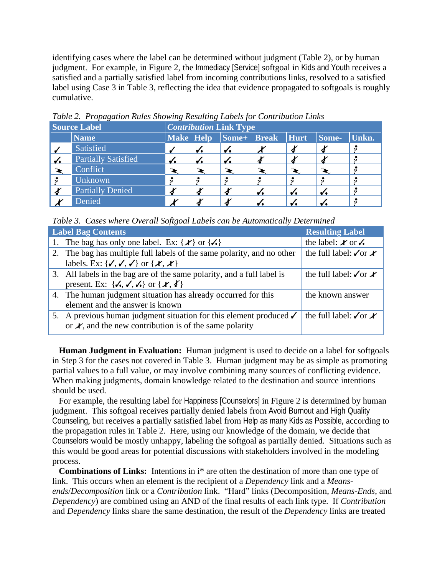identifying cases where the label can be determined without judgment (Table 2), or by human judgment. For example, in Figure 2, the Immediacy [Service] softgoal in Kids and Youth receives a satisfied and a partially satisfied label from incoming contributions links, resolved to a satisfied label using Case 3 in Table 3, reflecting the idea that evidence propagated to softgoals is roughly cumulative.

| <b>Source Label</b> |                            | <b>Contribution Link Type</b> |  |                                    |  |   |       |           |  |  |  |  |
|---------------------|----------------------------|-------------------------------|--|------------------------------------|--|---|-------|-----------|--|--|--|--|
|                     | <b>Name</b>                |                               |  | Make   Help   Some+   Break   Hurt |  |   | Some- | Unkn.     |  |  |  |  |
|                     | Satisfied                  |                               |  | v.                                 |  |   |       |           |  |  |  |  |
| $\checkmark$        | <b>Partially Satisfied</b> | v.                            |  |                                    |  |   |       |           |  |  |  |  |
|                     | Conflict                   |                               |  |                                    |  |   |       |           |  |  |  |  |
|                     | Unknown                    |                               |  | 6)                                 |  | 9 |       | $\bullet$ |  |  |  |  |
|                     | <b>Partially Denied</b>    |                               |  |                                    |  |   |       |           |  |  |  |  |
|                     | Denied                     |                               |  |                                    |  |   |       |           |  |  |  |  |

*Table 2. Propagation Rules Showing Resulting Labels for Contribution Links* 

*Table 3. Cases where Overall Softgoal Labels can be Automatically Determined* 

| <b>Label Bag Contents</b>                                                                    | <b>Resulting Label</b>                |
|----------------------------------------------------------------------------------------------|---------------------------------------|
| 1. The bag has only one label. Ex: $\{\mathcal{K}\}\$ or $\{\mathcal{N}\}\$                  | the label: $\angle$ or $\angle$       |
| 2. The bag has multiple full labels of the same polarity, and no other                       | the full label: $\sqrt{\text{or } x}$ |
| labels. Ex: { $\checkmark$ , $\checkmark$ , $\checkmark$ } or { $\mathcal{X}, \mathcal{X}$ } |                                       |
| 3. All labels in the bag are of the same polarity, and a full label is                       | the full label: $\sqrt{\text{or } x}$ |
| present. Ex: $\{\checkmark,\checkmark,\checkmark\}$ or $\{\mathcal{X},\checkmark\}$          |                                       |
| 4. The human judgment situation has already occurred for this                                | the known answer                      |
| element and the answer is known                                                              |                                       |
| 5. A previous human judgment situation for this element produced $\checkmark$                | the full label: $\sqrt{\text{or } x}$ |
| or $\lambda$ , and the new contribution is of the same polarity                              |                                       |
|                                                                                              |                                       |

**Human Judgment in Evaluation:** Human judgment is used to decide on a label for softgoals in Step 3 for the cases not covered in Table 3. Human judgment may be as simple as promoting partial values to a full value, or may involve combining many sources of conflicting evidence. When making judgments, domain knowledge related to the destination and source intentions should be used.

For example, the resulting label for Happiness [Counselors] in Figure 2 is determined by human judgment. This softgoal receives partially denied labels from Avoid Burnout and High Quality Counseling, but receives a partially satisfied label from Help as many Kids as Possible, according to the propagation rules in Table 2. Here, using our knowledge of the domain, we decide that Counselors would be mostly unhappy, labeling the softgoal as partially denied. Situations such as this would be good areas for potential discussions with stakeholders involved in the modeling process.

**Combinations of Links:** Intentions in i\* are often the destination of more than one type of link. This occurs when an element is the recipient of a *Dependency* link and a *Meansends*/*Decomposition* link or a *Contribution* link. "Hard" links (Decomposition, *Means-Ends*, and *Dependency*) are combined using an AND of the final results of each link type. If *Contribution* and *Dependency* links share the same destination, the result of the *Dependency* links are treated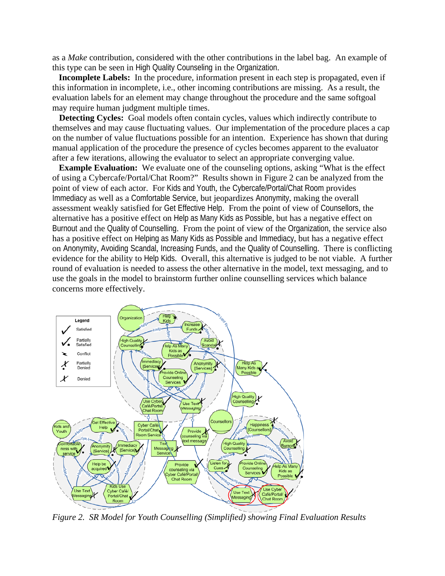as a *Make* contribution, considered with the other contributions in the label bag. An example of this type can be seen in High Quality Counseling in the Organization.

**Incomplete Labels:** In the procedure, information present in each step is propagated, even if this information in incomplete, i.e., other incoming contributions are missing. As a result, the evaluation labels for an element may change throughout the procedure and the same softgoal may require human judgment multiple times.

**Detecting Cycles:** Goal models often contain cycles, values which indirectly contribute to themselves and may cause fluctuating values. Our implementation of the procedure places a cap on the number of value fluctuations possible for an intention. Experience has shown that during manual application of the procedure the presence of cycles becomes apparent to the evaluator after a few iterations, allowing the evaluator to select an appropriate converging value.

**Example Evaluation:** We evaluate one of the counseling options, asking "What is the effect of using a Cybercafe/Portal/Chat Room?" Results shown in Figure 2 can be analyzed from the point of view of each actor. For Kids and Youth, the Cybercafe/Portal/Chat Room provides Immediacy as well as a Comfortable Service, but jeopardizes Anonymity, making the overall assessment weakly satisfied for Get Effective Help. From the point of view of Counsellors, the alternative has a positive effect on Help as Many Kids as Possible, but has a negative effect on Burnout and the Quality of Counselling. From the point of view of the Organization, the service also has a positive effect on Helping as Many Kids as Possible and Immediacy, but has a negative effect on Anonymity, Avoiding Scandal, Increasing Funds, and the Quality of Counselling. There is conflicting evidence for the ability to Help Kids. Overall, this alternative is judged to be not viable. A further round of evaluation is needed to assess the other alternative in the model, text messaging, and to use the goals in the model to brainstorm further online counselling services which balance concerns more effectively.



*Figure 2. SR Model for Youth Counselling (Simplified) showing Final Evaluation Results*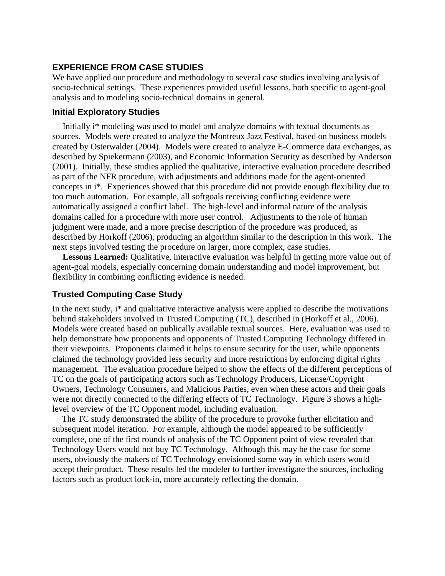# **EXPERIENCE FROM CASE STUDIES**

We have applied our procedure and methodology to several case studies involving analysis of socio-technical settings. These experiences provided useful lessons, both specific to agent-goal analysis and to modeling socio-technical domains in general.

## **Initial Exploratory Studies**

Initially i\* modeling was used to model and analyze domains with textual documents as sources. Models were created to analyze the Montreux Jazz Festival, based on business models created by Osterwalder (2004). Models were created to analyze E-Commerce data exchanges, as described by Spiekermann (2003), and Economic Information Security as described by Anderson (2001). Initially, these studies applied the qualitative, interactive evaluation procedure described as part of the NFR procedure, with adjustments and additions made for the agent-oriented concepts in i\*. Experiences showed that this procedure did not provide enough flexibility due to too much automation. For example, all softgoals receiving conflicting evidence were automatically assigned a conflict label. The high-level and informal nature of the analysis domains called for a procedure with more user control. Adjustments to the role of human judgment were made, and a more precise description of the procedure was produced, as described by Horkoff (2006), producing an algorithm similar to the description in this work. The next steps involved testing the procedure on larger, more complex, case studies.

**Lessons Learned:** Qualitative, interactive evaluation was helpful in getting more value out of agent-goal models, especially concerning domain understanding and model improvement, but flexibility in combining conflicting evidence is needed.

## **Trusted Computing Case Study**

In the next study, i\* and qualitative interactive analysis were applied to describe the motivations behind stakeholders involved in Trusted Computing (TC), described in (Horkoff et al., 2006). Models were created based on publically available textual sources. Here, evaluation was used to help demonstrate how proponents and opponents of Trusted Computing Technology differed in their viewpoints. Proponents claimed it helps to ensure security for the user, while opponents claimed the technology provided less security and more restrictions by enforcing digital rights management. The evaluation procedure helped to show the effects of the different perceptions of TC on the goals of participating actors such as Technology Producers, License/Copyright Owners, Technology Consumers, and Malicious Parties, even when these actors and their goals were not directly connected to the differing effects of TC Technology. Figure 3 shows a highlevel overview of the TC Opponent model, including evaluation.

The TC study demonstrated the ability of the procedure to provoke further elicitation and subsequent model iteration. For example, although the model appeared to be sufficiently complete, one of the first rounds of analysis of the TC Opponent point of view revealed that Technology Users would not buy TC Technology. Although this may be the case for some users, obviously the makers of TC Technology envisioned some way in which users would accept their product. These results led the modeler to further investigate the sources, including factors such as product lock-in, more accurately reflecting the domain.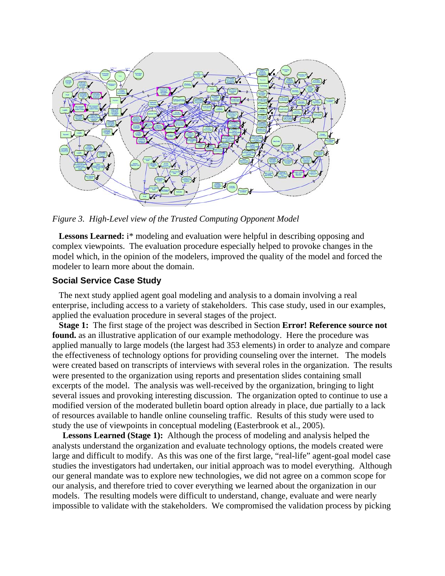

*Figure 3. High-Level view of the Trusted Computing Opponent Model* 

Lessons Learned: i<sup>\*</sup> modeling and evaluation were helpful in describing opposing and complex viewpoints. The evaluation procedure especially helped to provoke changes in the model which, in the opinion of the modelers, improved the quality of the model and forced the modeler to learn more about the domain.

## **Social Service Case Study**

The next study applied agent goal modeling and analysis to a domain involving a real enterprise, including access to a variety of stakeholders. This case study, used in our examples, applied the evaluation procedure in several stages of the project.

**Stage 1:** The first stage of the project was described in Section **Error! Reference source not found.** as an illustrative application of our example methodology. Here the procedure was applied manually to large models (the largest had 353 elements) in order to analyze and compare the effectiveness of technology options for providing counseling over the internet. The models were created based on transcripts of interviews with several roles in the organization. The results were presented to the organization using reports and presentation slides containing small excerpts of the model. The analysis was well-received by the organization, bringing to light several issues and provoking interesting discussion. The organization opted to continue to use a modified version of the moderated bulletin board option already in place, due partially to a lack of resources available to handle online counseling traffic. Results of this study were used to study the use of viewpoints in conceptual modeling (Easterbrook et al., 2005).

**Lessons Learned (Stage 1):** Although the process of modeling and analysis helped the analysts understand the organization and evaluate technology options, the models created were large and difficult to modify. As this was one of the first large, "real-life" agent-goal model case studies the investigators had undertaken, our initial approach was to model everything. Although our general mandate was to explore new technologies, we did not agree on a common scope for our analysis, and therefore tried to cover everything we learned about the organization in our models. The resulting models were difficult to understand, change, evaluate and were nearly impossible to validate with the stakeholders. We compromised the validation process by picking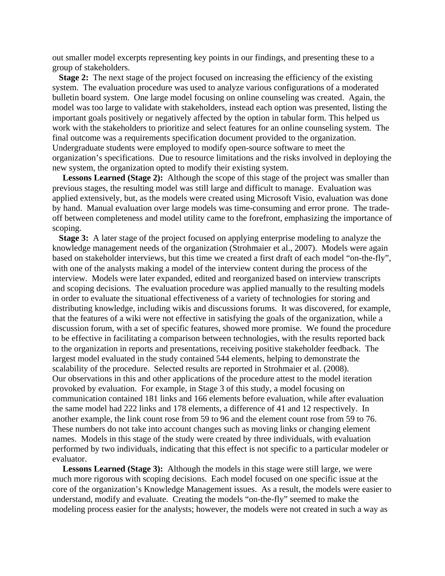out smaller model excerpts representing key points in our findings, and presenting these to a group of stakeholders.

**Stage 2:** The next stage of the project focused on increasing the efficiency of the existing system. The evaluation procedure was used to analyze various configurations of a moderated bulletin board system. One large model focusing on online counseling was created. Again, the model was too large to validate with stakeholders, instead each option was presented, listing the important goals positively or negatively affected by the option in tabular form. This helped us work with the stakeholders to prioritize and select features for an online counseling system. The final outcome was a requirements specification document provided to the organization. Undergraduate students were employed to modify open-source software to meet the organization's specifications. Due to resource limitations and the risks involved in deploying the new system, the organization opted to modify their existing system.

Lessons Learned (Stage 2): Although the scope of this stage of the project was smaller than previous stages, the resulting model was still large and difficult to manage. Evaluation was applied extensively, but, as the models were created using Microsoft Visio, evaluation was done by hand. Manual evaluation over large models was time-consuming and error prone. The tradeoff between completeness and model utility came to the forefront, emphasizing the importance of scoping.

**Stage 3:** A later stage of the project focused on applying enterprise modeling to analyze the knowledge management needs of the organization (Strohmaier et al., 2007). Models were again based on stakeholder interviews, but this time we created a first draft of each model "on-the-fly", with one of the analysts making a model of the interview content during the process of the interview. Models were later expanded, edited and reorganized based on interview transcripts and scoping decisions. The evaluation procedure was applied manually to the resulting models in order to evaluate the situational effectiveness of a variety of technologies for storing and distributing knowledge, including wikis and discussions forums. It was discovered, for example, that the features of a wiki were not effective in satisfying the goals of the organization, while a discussion forum, with a set of specific features, showed more promise. We found the procedure to be effective in facilitating a comparison between technologies, with the results reported back to the organization in reports and presentations, receiving positive stakeholder feedback. The largest model evaluated in the study contained 544 elements, helping to demonstrate the scalability of the procedure. Selected results are reported in Strohmaier et al. (2008). Our observations in this and other applications of the procedure attest to the model iteration provoked by evaluation. For example, in Stage 3 of this study, a model focusing on communication contained 181 links and 166 elements before evaluation, while after evaluation the same model had 222 links and 178 elements, a difference of 41 and 12 respectively. In another example, the link count rose from 59 to 96 and the element count rose from 59 to 76. These numbers do not take into account changes such as moving links or changing element names. Models in this stage of the study were created by three individuals, with evaluation performed by two individuals, indicating that this effect is not specific to a particular modeler or evaluator.

**Lessons Learned (Stage 3):** Although the models in this stage were still large, we were much more rigorous with scoping decisions. Each model focused on one specific issue at the core of the organization's Knowledge Management issues. As a result, the models were easier to understand, modify and evaluate. Creating the models "on-the-fly" seemed to make the modeling process easier for the analysts; however, the models were not created in such a way as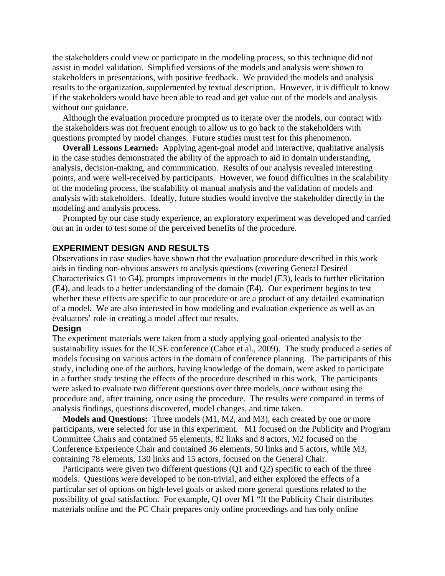the stakeholders could view or participate in the modeling process, so this technique did not assist in model validation. Simplified versions of the models and analysis were shown to stakeholders in presentations, with positive feedback. We provided the models and analysis results to the organization, supplemented by textual description. However, it is difficult to know if the stakeholders would have been able to read and get value out of the models and analysis without our guidance.

Although the evaluation procedure prompted us to iterate over the models, our contact with the stakeholders was not frequent enough to allow us to go back to the stakeholders with questions prompted by model changes. Future studies must test for this phenomenon.

**Overall Lessons Learned:** Applying agent-goal model and interactive, qualitative analysis in the case studies demonstrated the ability of the approach to aid in domain understanding, analysis, decision-making, and communication. Results of our analysis revealed interesting points, and were well-received by participants. However, we found difficulties in the scalability of the modeling process, the scalability of manual analysis and the validation of models and analysis with stakeholders. Ideally, future studies would involve the stakeholder directly in the modeling and analysis process.

Prompted by our case study experience, an exploratory experiment was developed and carried out an in order to test some of the perceived benefits of the procedure.

## **EXPERIMENT DESIGN AND RESULTS**

Observations in case studies have shown that the evaluation procedure described in this work aids in finding non-obvious answers to analysis questions (covering General Desired Characteristics G1 to G4), prompts improvements in the model (E3), leads to further elicitation (E4), and leads to a better understanding of the domain (E4). Our experiment begins to test whether these effects are specific to our procedure or are a product of any detailed examination of a model. We are also interested in how modeling and evaluation experience as well as an evaluators' role in creating a model affect our results.

#### **Design**

The experiment materials were taken from a study applying goal-oriented analysis to the sustainability issues for the ICSE conference (Cabot et al., 2009). The study produced a series of models focusing on various actors in the domain of conference planning. The participants of this study, including one of the authors, having knowledge of the domain, were asked to participate in a further study testing the effects of the procedure described in this work. The participants were asked to evaluate two different questions over three models, once without using the procedure and, after training, once using the procedure. The results were compared in terms of analysis findings, questions discovered, model changes, and time taken.

**Models and Questions:** Three models (M1, M2, and M3), each created by one or more participants, were selected for use in this experiment. M1 focused on the Publicity and Program Committee Chairs and contained 55 elements, 82 links and 8 actors, M2 focused on the Conference Experience Chair and contained 36 elements, 50 links and 5 actors, while M3, containing 78 elements, 130 links and 15 actors, focused on the General Chair.

Participants were given two different questions (Q1 and Q2) specific to each of the three models. Questions were developed to be non-trivial, and either explored the effects of a particular set of options on high-level goals or asked more general questions related to the possibility of goal satisfaction. For example, Q1 over M1 "If the Publicity Chair distributes materials online and the PC Chair prepares only online proceedings and has only online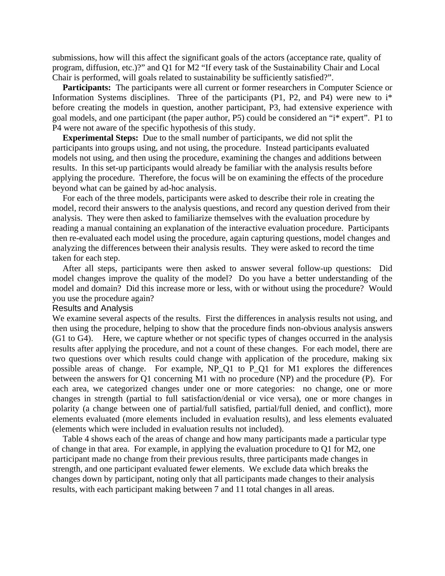submissions, how will this affect the significant goals of the actors (acceptance rate, quality of program, diffusion, etc.)?" and Q1 for M2 "If every task of the Sustainability Chair and Local Chair is performed, will goals related to sustainability be sufficiently satisfied?".

Participants: The participants were all current or former researchers in Computer Science or Information Systems disciplines. Three of the participants (P1, P2, and P4) were new to i\* before creating the models in question, another participant, P3, had extensive experience with goal models, and one participant (the paper author, P5) could be considered an "i\* expert". P1 to P4 were not aware of the specific hypothesis of this study.

**Experimental Steps:** Due to the small number of participants, we did not split the participants into groups using, and not using, the procedure. Instead participants evaluated models not using, and then using the procedure, examining the changes and additions between results. In this set-up participants would already be familiar with the analysis results before applying the procedure. Therefore, the focus will be on examining the effects of the procedure beyond what can be gained by ad-hoc analysis.

For each of the three models, participants were asked to describe their role in creating the model, record their answers to the analysis questions, and record any question derived from their analysis. They were then asked to familiarize themselves with the evaluation procedure by reading a manual containing an explanation of the interactive evaluation procedure. Participants then re-evaluated each model using the procedure, again capturing questions, model changes and analyzing the differences between their analysis results. They were asked to record the time taken for each step.

After all steps, participants were then asked to answer several follow-up questions: Did model changes improve the quality of the model? Do you have a better understanding of the model and domain? Did this increase more or less, with or without using the procedure? Would you use the procedure again?

#### Results and Analysis

We examine several aspects of the results. First the differences in analysis results not using, and then using the procedure, helping to show that the procedure finds non-obvious analysis answers (G1 to G4). Here, we capture whether or not specific types of changes occurred in the analysis results after applying the procedure, and not a count of these changes. For each model, there are two questions over which results could change with application of the procedure, making six possible areas of change. For example, NP\_Q1 to P\_Q1 for M1 explores the differences between the answers for Q1 concerning M1 with no procedure (NP) and the procedure (P). For each area, we categorized changes under one or more categories: no change, one or more changes in strength (partial to full satisfaction/denial or vice versa), one or more changes in polarity (a change between one of partial/full satisfied, partial/full denied, and conflict), more elements evaluated (more elements included in evaluation results), and less elements evaluated (elements which were included in evaluation results not included).

Table 4 shows each of the areas of change and how many participants made a particular type of change in that area. For example, in applying the evaluation procedure to Q1 for M2, one participant made no change from their previous results, three participants made changes in strength, and one participant evaluated fewer elements. We exclude data which breaks the changes down by participant, noting only that all participants made changes to their analysis results, with each participant making between 7 and 11 total changes in all areas.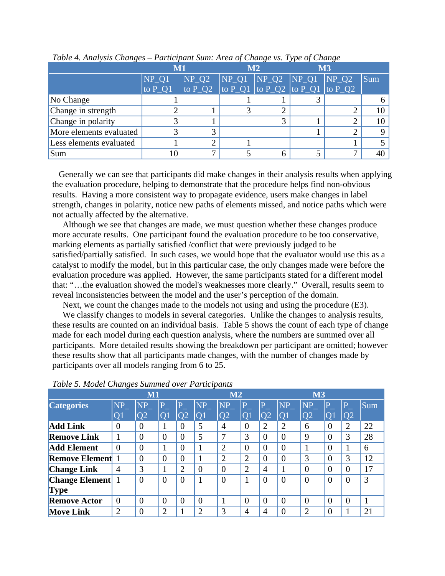|                         | $\mathbf{M}1$ |                                                                                                        | M <sub>2</sub> | $\mathbf{M}3$ |  |            |
|-------------------------|---------------|--------------------------------------------------------------------------------------------------------|----------------|---------------|--|------------|
|                         | $NP_Q1$       | $NP_Q2$ $NP_Q1$ $NP_Q2$ $NP_Q1$ $NP_Q2$                                                                |                |               |  | <b>Sum</b> |
|                         | to $P_01$     | $\frac{1}{10}$ to P_Q2 $\frac{1}{10}$ P_Q1 $\frac{1}{10}$ P_Q2 $\frac{1}{10}$ P_Q1 $\frac{1}{10}$ P_Q2 |                |               |  |            |
| No Change               |               |                                                                                                        |                |               |  |            |
| Change in strength      |               |                                                                                                        |                |               |  |            |
| Change in polarity      |               |                                                                                                        |                |               |  |            |
| More elements evaluated |               | 3                                                                                                      |                |               |  |            |
| Less elements evaluated |               | າ                                                                                                      |                |               |  |            |
| Sum                     | 10            | ⇁                                                                                                      |                |               |  |            |

*Table 4. Analysis Changes – Participant Sum: Area of Change vs. Type of Change* 

Generally we can see that participants did make changes in their analysis results when applying the evaluation procedure, helping to demonstrate that the procedure helps find non-obvious results. Having a more consistent way to propagate evidence, users make changes in label strength, changes in polarity, notice new paths of elements missed, and notice paths which were not actually affected by the alternative.

Although we see that changes are made, we must question whether these changes produce more accurate results. One participant found the evaluation procedure to be too conservative, marking elements as partially satisfied /conflict that were previously judged to be satisfied/partially satisfied. In such cases, we would hope that the evaluator would use this as a catalyst to modify the model, but in this particular case, the only changes made were before the evaluation procedure was applied. However, the same participants stated for a different model that: "…the evaluation showed the model's weaknesses more clearly." Overall, results seem to reveal inconsistencies between the model and the user's perception of the domain.

Next, we count the changes made to the models not using and using the procedure (E3).

We classify changes to models in several categories. Unlike the changes to analysis results, these results are counted on an individual basis. Table 5 shows the count of each type of change made for each model during each question analysis, where the numbers are summed over all participants. More detailed results showing the breakdown per participant are omitted; however these results show that all participants made changes, with the number of changes made by participants over all models ranging from 6 to 25.

|                       |                | M1             |          |                 |                | M2             |                |                |                | <b>M3</b>       |                         |                 |     |
|-----------------------|----------------|----------------|----------|-----------------|----------------|----------------|----------------|----------------|----------------|-----------------|-------------------------|-----------------|-----|
| <b>Categories</b>     | NP             | <b>NP</b>      |          |                 | <b>NP</b>      | $NP_$          |                |                | <b>NP</b>      | NP              | $\overline{\mathrm{P}}$ | P               | Sum |
|                       | O <sub>1</sub> | O <sub>2</sub> | $\Omega$ | $\overline{O}2$ | O <sub>1</sub> | Q <sub>2</sub> | $\Omega$       | O2             | <b>AOP</b>     | $\overline{O2}$ | $\Omega$                | $\overline{O2}$ |     |
| <b>Add Link</b>       | $\theta$       | $\theta$       |          | $\Omega$        | 5              | $\overline{4}$ | 0              | $\overline{2}$ | $\overline{2}$ | 6               | $\theta$                | $\overline{2}$  | 22  |
| <b>Remove Link</b>    |                | $\overline{0}$ | $\theta$ | $\overline{0}$  | 5              |                | 3              | $\overline{0}$ | $\overline{0}$ | 9               | $\overline{0}$          | 3               | 28  |
| <b>Add Element</b>    | $\theta$       | $\theta$       |          | $\Omega$        |                | $\overline{2}$ | $\theta$       | $\overline{0}$ | $\theta$       |                 | $\Omega$                |                 | 6   |
| <b>Remove Element</b> |                | $\overline{0}$ | $\Omega$ | $\Omega$        |                | $\overline{2}$ | 2              | $\overline{0}$ | $\theta$       | 3               | $\overline{0}$          | 3               | 12  |
| <b>Change Link</b>    | $\overline{4}$ | 3              |          | $\overline{2}$  | $\overline{0}$ | $\overline{0}$ | $\overline{2}$ | $\overline{4}$ |                | $\Omega$        | $\theta$                | $\Omega$        | 17  |
| <b>Change Element</b> |                | $\theta$       | $\theta$ | $\Omega$        |                | $\Omega$       | 1              | $\overline{0}$ | $\overline{0}$ | $\Omega$        | $\theta$                | $\theta$        | 3   |
| <b>Type</b>           |                |                |          |                 |                |                |                |                |                |                 |                         |                 |     |
| <b>Remove Actor</b>   | $\theta$       | $\overline{0}$ | $\theta$ | $\overline{0}$  | $\overline{0}$ |                | $\overline{0}$ | $\overline{0}$ | $\overline{0}$ | $\Omega$        | $\theta$                | $\theta$        |     |
| <b>Move Link</b>      | $\overline{2}$ | $\overline{0}$ | ⌒        |                 | റ              | 3              | 4              | 4              | $\overline{0}$ | $\overline{2}$  | 0                       |                 | 21  |

#### *Table 5. Model Changes Summed over Participants*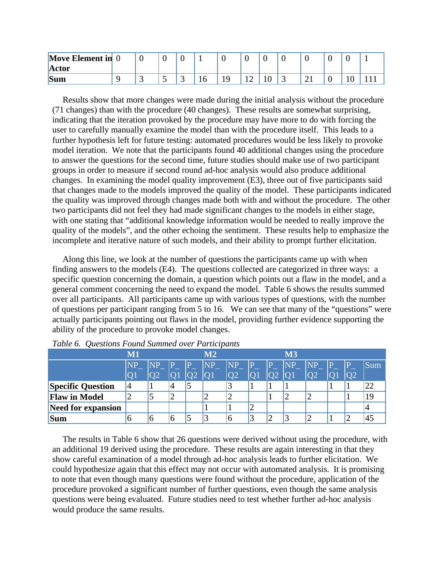| <b>Move Element in</b> 0 | ◡        |          |    |   |     |   |   |   |  |
|--------------------------|----------|----------|----|---|-----|---|---|---|--|
| <b>Actor</b>             |          |          |    |   |     |   |   |   |  |
| <b>Sum</b>               | <u>ب</u> | <b>~</b> | 16 | ∸ | 1 V | ັ | ▰ | ◡ |  |

Results show that more changes were made during the initial analysis without the procedure (71 changes) than with the procedure (40 changes). These results are somewhat surprising, indicating that the iteration provoked by the procedure may have more to do with forcing the user to carefully manually examine the model than with the procedure itself. This leads to a further hypothesis left for future testing: automated procedures would be less likely to provoke model iteration. We note that the participants found 40 additional changes using the procedure to answer the questions for the second time, future studies should make use of two participant groups in order to measure if second round ad-hoc analysis would also produce additional changes. In examining the model quality improvement (E3), three out of five participants said that changes made to the models improved the quality of the model. These participants indicated the quality was improved through changes made both with and without the procedure. The other two participants did not feel they had made significant changes to the models in either stage, with one stating that "additional knowledge information would be needed to really improve the quality of the models", and the other echoing the sentiment. These results help to emphasize the incomplete and iterative nature of such models, and their ability to prompt further elicitation.

Along this line, we look at the number of questions the participants came up with when finding answers to the models (E4). The questions collected are categorized in three ways: a specific question concerning the domain, a question which points out a flaw in the model, and a general comment concerning the need to expand the model. Table 6 shows the results summed over all participants. All participants came up with various types of questions, with the number of questions per participant ranging from 5 to 16. We can see that many of the "questions" were actually participants pointing out flaws in the model, providing further evidence supporting the ability of the procedure to provoke model changes.

|                           | M1             |    |   | M2            |                        |  | <b>M3</b> |                |   |   |     |
|---------------------------|----------------|----|---|---------------|------------------------|--|-----------|----------------|---|---|-----|
|                           | <b>NP</b>      |    |   | $\mathbf{NP}$ | $\overline{\text{NP}}$ |  | NP        | <b>NP</b>      | D | D | Sum |
|                           | O <sub>1</sub> |    |   |               |                        |  |           | O <sub>2</sub> |   |   |     |
| <b>Specific Question</b>  | 4              |    |   |               |                        |  |           |                |   |   | 22  |
| <b>Flaw in Model</b>      | っ              | IJ | ∠ | ∠             |                        |  | ∠         |                |   |   | 19  |
| <b>Need for expansion</b> |                |    |   |               |                        |  |           |                |   |   | 4   |
| <b>Sum</b>                | O              | O  |   |               | 16                     |  |           |                |   | ി | 45  |

*Table 6. Questions Found Summed over Participants* 

The results in Table 6 show that 26 questions were derived without using the procedure, with an additional 19 derived using the procedure. These results are again interesting in that they show careful examination of a model through ad-hoc analysis leads to further elicitation. We could hypothesize again that this effect may not occur with automated analysis. It is promising to note that even though many questions were found without the procedure, application of the procedure provoked a significant number of further questions, even though the same analysis questions were being evaluated. Future studies need to test whether further ad-hoc analysis would produce the same results.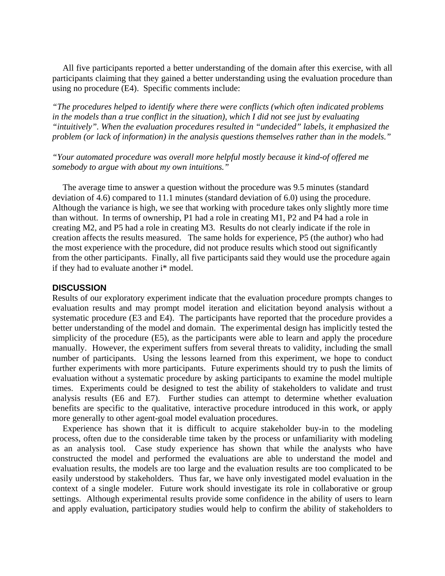All five participants reported a better understanding of the domain after this exercise, with all participants claiming that they gained a better understanding using the evaluation procedure than using no procedure (E4). Specific comments include:

*"The procedures helped to identify where there were conflicts (which often indicated problems in the models than a true conflict in the situation), which I did not see just by evaluating "intuitively". When the evaluation procedures resulted in "undecided" labels, it emphasized the problem (or lack of information) in the analysis questions themselves rather than in the models."* 

*"Your automated procedure was overall more helpful mostly because it kind-of offered me somebody to argue with about my own intuitions."* 

The average time to answer a question without the procedure was 9.5 minutes (standard deviation of 4.6) compared to 11.1 minutes (standard deviation of 6.0) using the procedure. Although the variance is high, we see that working with procedure takes only slightly more time than without. In terms of ownership, P1 had a role in creating M1, P2 and P4 had a role in creating M2, and P5 had a role in creating M3. Results do not clearly indicate if the role in creation affects the results measured. The same holds for experience, P5 (the author) who had the most experience with the procedure, did not produce results which stood out significantly from the other participants. Finally, all five participants said they would use the procedure again if they had to evaluate another i\* model.

#### **DISCUSSION**

Results of our exploratory experiment indicate that the evaluation procedure prompts changes to evaluation results and may prompt model iteration and elicitation beyond analysis without a systematic procedure (E3 and E4). The participants have reported that the procedure provides a better understanding of the model and domain. The experimental design has implicitly tested the simplicity of the procedure (E5), as the participants were able to learn and apply the procedure manually. However, the experiment suffers from several threats to validity, including the small number of participants. Using the lessons learned from this experiment, we hope to conduct further experiments with more participants. Future experiments should try to push the limits of evaluation without a systematic procedure by asking participants to examine the model multiple times. Experiments could be designed to test the ability of stakeholders to validate and trust analysis results (E6 and E7). Further studies can attempt to determine whether evaluation benefits are specific to the qualitative, interactive procedure introduced in this work, or apply more generally to other agent-goal model evaluation procedures.

Experience has shown that it is difficult to acquire stakeholder buy-in to the modeling process, often due to the considerable time taken by the process or unfamiliarity with modeling as an analysis tool. Case study experience has shown that while the analysts who have constructed the model and performed the evaluations are able to understand the model and evaluation results, the models are too large and the evaluation results are too complicated to be easily understood by stakeholders. Thus far, we have only investigated model evaluation in the context of a single modeler. Future work should investigate its role in collaborative or group settings. Although experimental results provide some confidence in the ability of users to learn and apply evaluation, participatory studies would help to confirm the ability of stakeholders to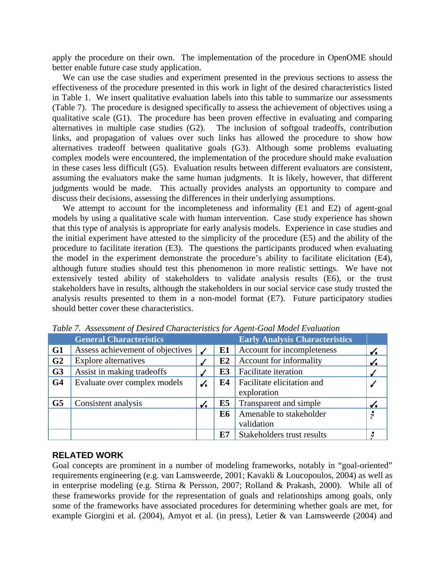apply the procedure on their own. The implementation of the procedure in OpenOME should better enable future case study application.

We can use the case studies and experiment presented in the previous sections to assess the effectiveness of the procedure presented in this work in light of the desired characteristics listed in Table 1. We insert qualitative evaluation labels into this table to summarize our assessments (Table 7). The procedure is designed specifically to assess the achievement of objectives using a qualitative scale (G1). The procedure has been proven effective in evaluating and comparing alternatives in multiple case studies (G2). The inclusion of softgoal tradeoffs, contribution links, and propagation of values over such links has allowed the procedure to show how alternatives tradeoff between qualitative goals (G3). Although some problems evaluating complex models were encountered, the implementation of the procedure should make evaluation in these cases less difficult (G5). Evaluation results between different evaluators are consistent, assuming the evaluators make the same human judgments. It is likely, however, that different judgments would be made. This actually provides analysts an opportunity to compare and discuss their decisions, assessing the differences in their underlying assumptions.

We attempt to account for the incompleteness and informality (E1 and E2) of agent-goal models by using a qualitative scale with human intervention. Case study experience has shown that this type of analysis is appropriate for early analysis models. Experience in case studies and the initial experiment have attested to the simplicity of the procedure (E5) and the ability of the procedure to facilitate iteration (E3). The questions the participants produced when evaluating the model in the experiment demonstrate the procedure's ability to facilitate elicitation (E4), although future studies should test this phenomenon in more realistic settings. We have not extensively tested ability of stakeholders to validate analysis results (E6), or the trust stakeholders have in results, although the stakeholders in our social service case study trusted the analysis results presented to them in a non-model format (E7). Future participatory studies should better cover these characteristics.

|                | <b>General Characteristics</b>   |              |                | <b>Early Analysis Characteristics</b> |              |
|----------------|----------------------------------|--------------|----------------|---------------------------------------|--------------|
| G1             | Assess achievement of objectives |              | E1             | Account for incompleteness            |              |
| G <sub>2</sub> | <b>Explore alternatives</b>      |              | E2             | Account for informality               | $\checkmark$ |
| G <sub>3</sub> | Assist in making tradeoffs       |              | E <sub>3</sub> | Facilitate iteration                  |              |
| G <sub>4</sub> | Evaluate over complex models     | ✓            | E4             | Facilitate elicitation and            |              |
|                |                                  |              |                | exploration                           |              |
| G <sub>5</sub> | Consistent analysis              | $\checkmark$ | E <sub>5</sub> | Transparent and simple                |              |
|                |                                  |              | <b>E6</b>      | Amenable to stakeholder               |              |
|                |                                  |              |                | validation                            |              |
|                |                                  |              | E7             | Stakeholders trust results            |              |

*Table 7. Assessment of Desired Characteristics for Agent-Goal Model Evaluation* 

#### **RELATED WORK**

Goal concepts are prominent in a number of modeling frameworks, notably in "goal-oriented" requirements engineering (e.g. van Lamsweerde, 2001; Kavakli & Loucopoulos, 2004) as well as in enterprise modeling (e.g. Stirna & Persson, 2007; Rolland & Prakash, 2000). While all of these frameworks provide for the representation of goals and relationships among goals, only some of the frameworks have associated procedures for determining whether goals are met, for example Giorgini et al. (2004), Amyot et al. (in press), Letier & van Lamsweerde (2004) and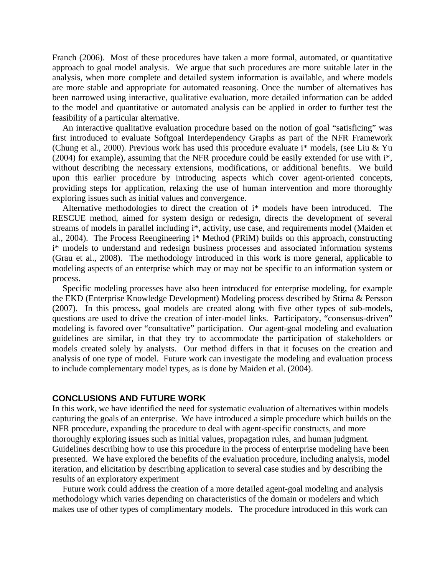Franch (2006). Most of these procedures have taken a more formal, automated, or quantitative approach to goal model analysis. We argue that such procedures are more suitable later in the analysis, when more complete and detailed system information is available, and where models are more stable and appropriate for automated reasoning. Once the number of alternatives has been narrowed using interactive, qualitative evaluation, more detailed information can be added to the model and quantitative or automated analysis can be applied in order to further test the feasibility of a particular alternative.

An interactive qualitative evaluation procedure based on the notion of goal "satisficing" was first introduced to evaluate Softgoal Interdependency Graphs as part of the NFR Framework (Chung et al., 2000). Previous work has used this procedure evaluate i\* models, (see Liu & Yu (2004) for example), assuming that the NFR procedure could be easily extended for use with i\*, without describing the necessary extensions, modifications, or additional benefits. We build upon this earlier procedure by introducing aspects which cover agent-oriented concepts, providing steps for application, relaxing the use of human intervention and more thoroughly exploring issues such as initial values and convergence.

Alternative methodologies to direct the creation of i\* models have been introduced. The RESCUE method, aimed for system design or redesign, directs the development of several streams of models in parallel including i\*, activity, use case, and requirements model (Maiden et al., 2004). The Process Reengineering i\* Method (PRiM) builds on this approach, constructing i\* models to understand and redesign business processes and associated information systems (Grau et al., 2008). The methodology introduced in this work is more general, applicable to modeling aspects of an enterprise which may or may not be specific to an information system or process.

Specific modeling processes have also been introduced for enterprise modeling, for example the EKD (Enterprise Knowledge Development) Modeling process described by Stirna & Persson (2007). In this process, goal models are created along with five other types of sub-models, questions are used to drive the creation of inter-model links. Participatory, "consensus-driven" modeling is favored over "consultative" participation. Our agent-goal modeling and evaluation guidelines are similar, in that they try to accommodate the participation of stakeholders or models created solely by analysts. Our method differs in that it focuses on the creation and analysis of one type of model. Future work can investigate the modeling and evaluation process to include complementary model types, as is done by Maiden et al. (2004).

#### **CONCLUSIONS AND FUTURE WORK**

In this work, we have identified the need for systematic evaluation of alternatives within models capturing the goals of an enterprise. We have introduced a simple procedure which builds on the NFR procedure, expanding the procedure to deal with agent-specific constructs, and more thoroughly exploring issues such as initial values, propagation rules, and human judgment. Guidelines describing how to use this procedure in the process of enterprise modeling have been presented. We have explored the benefits of the evaluation procedure, including analysis, model iteration, and elicitation by describing application to several case studies and by describing the results of an exploratory experiment

Future work could address the creation of a more detailed agent-goal modeling and analysis methodology which varies depending on characteristics of the domain or modelers and which makes use of other types of complimentary models. The procedure introduced in this work can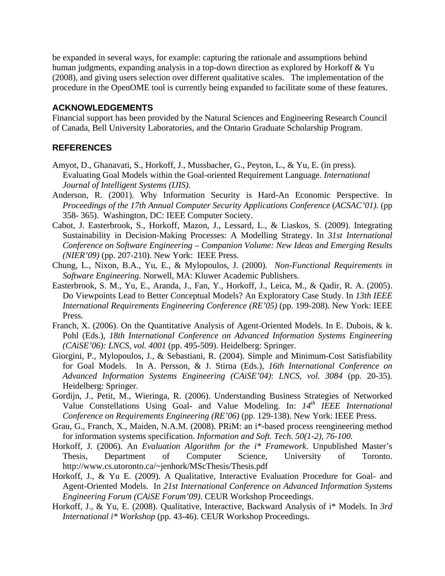be expanded in several ways, for example: capturing the rationale and assumptions behind human judgments, expanding analysis in a top-down direction as explored by Horkoff & Yu (2008), and giving users selection over different qualitative scales. The implementation of the procedure in the OpenOME tool is currently being expanded to facilitate some of these features.

#### **ACKNOWLEDGEMENTS**

Financial support has been provided by the Natural Sciences and Engineering Research Council of Canada, Bell University Laboratories, and the Ontario Graduate Scholarship Program.

## **REFERENCES**

- Amyot, D., Ghanavati, S., Horkoff, J., Mussbacher, G., Peyton, L., & Yu, E. (in press). Evaluating Goal Models within the Goal-oriented Requirement Language. *International Journal of Intelligent Systems (IJIS).*
- Anderson, R. (2001). Why Information Security is Hard-An Economic Perspective. In *Proceedings of the 17th Annual Computer Security Applications Conference* (*ACSAC'01).* (pp 358- 365). Washington, DC: IEEE Computer Society.
- Cabot, J. Easterbrook, S., Horkoff, Mazon, J., Lessard, L., & Liaskos, S. (2009). Integrating Sustainability in Decision-Making Processes: A Modelling Strategy. In *31st International Conference on Software Engineering – Companion Volume: New Ideas and Emerging Results (NIER'09)* (pp. 207-210). New York: IEEE Press.
- Chung, L., Nixon, B.A., Yu, E., & Mylopoulos, J. (2000). *Non-Functional Requirements in Software Engineering*. Norwell, MA: Kluwer Academic Publishers.
- Easterbrook, S. M., Yu, E., Aranda, J., Fan, Y., Horkoff, J., Leica, M., & Qadir, R. A. (2005). Do Viewpoints Lead to Better Conceptual Models? An Exploratory Case Study. In *13th IEEE International Requirements Engineering Conference (RE'05)* (pp. 199-208). New York: IEEE Press.
- Franch, X. (2006). On the Quantitative Analysis of Agent-Oriented Models. In E. Dubois, & k. Pohl (Eds.), *18th International Conference on Advanced Information Systems Engineering (CAiSE'06): LNCS, vol. 4001* (pp. 495-509). Heidelberg: Springer.
- Giorgini, P., Mylopoulos, J., & Sebastiani, R. (2004). Simple and Minimum-Cost Satisfiability for Goal Models. In A. Persson, & J. Stirna (Eds.), *16th International Conference on Advanced Information Systems Engineering (CAiSE'04)*: *LNCS, vol. 3084* (pp. 20-35). Heidelberg: Springer.
- Gordijn, J., Petit, M., Wieringa, R. (2006). Understanding Business Strategies of Networked Value Constellations Using Goal- and Value Modeling. In: *14th IEEE International Conference on Requirements Engineering (RE'06)* (pp. 129-138). New York: IEEE Press.
- Grau, G., Franch, X., Maiden, N.A.M. (2008). PRiM: an i\*-based process reengineering method for information systems specification. *Information and Soft. Tech. 50(1-2), 76-100.*
- Horkoff, J. (2006). An *Evaluation Algorithm for the i\* Framework*. Unpublished Master's Thesis, Department of Computer Science, University of Toronto. http://www.cs.utoronto.ca/~jenhork/MScThesis/Thesis.pdf
- Horkoff, J., & Yu E. (2009). A Qualitative, Interactive Evaluation Procedure for Goal- and Agent-Oriented Models. In *21st International Conference on Advanced Information Systems Engineering Forum (CAiSE Forum'09)*. CEUR Workshop Proceedings.
- Horkoff, J., & Yu, E. (2008). Qualitative, Interactive, Backward Analysis of i\* Models. In *3rd International i\* Workshop* (pp. 43-46). CEUR Workshop Proceedings.